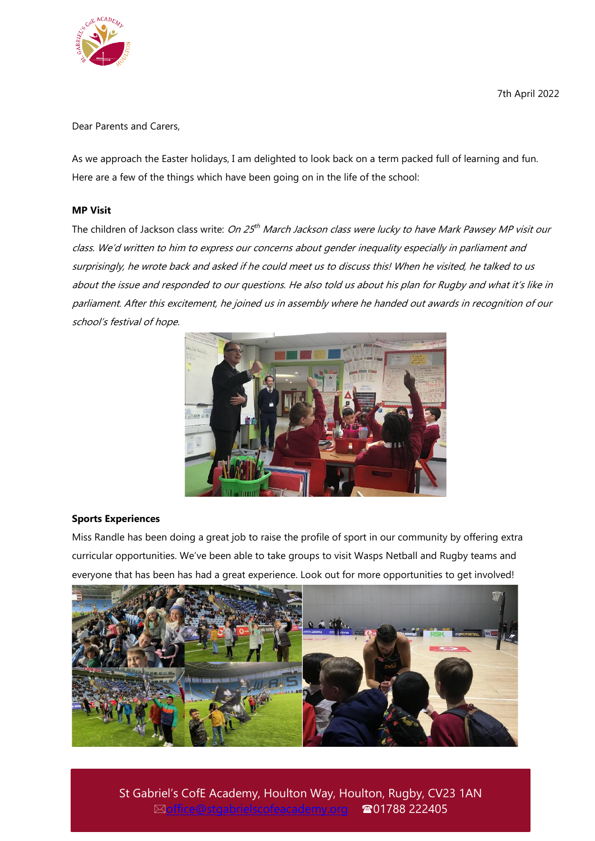

7th April 2022

Dear Parents and Carers,

As we approach the Easter holidays, I am delighted to look back on a term packed full of learning and fun. Here are a few of the things which have been going on in the life of the school:

# **MP Visit**

The children of Jackson class write: *On 25<sup>th</sup> March Jackson class were lucky to have Mark Pawsey MP visit our* class. We'd written to him to express our concerns about gender inequality especially in parliament and surprisingly, he wrote back and asked if he could meet us to discuss this! When he visited, he talked to us about the issue and responded to our questions. He also told us about his plan for Rugby and what it's like in parliament. After this excitement, he joined us in assembly where he handed out awards in recognition of our school's festival of hope.



# **Sports Experiences**

Miss Randle has been doing a great job to raise the profile of sport in our community by offering extra curricular opportunities. We've been able to take groups to visit Wasps Netball and Rugby teams and everyone that has been has had a great experience. Look out for more opportunities to get involved!



St Gabriel's CofE Academy, Houlton Way, Houlton, Rugby, CV23 1AN **⊠[office@stgabrielscofeacademy.org](mailto:office@stgabrielscofeacademy.org) ☎01788 222405**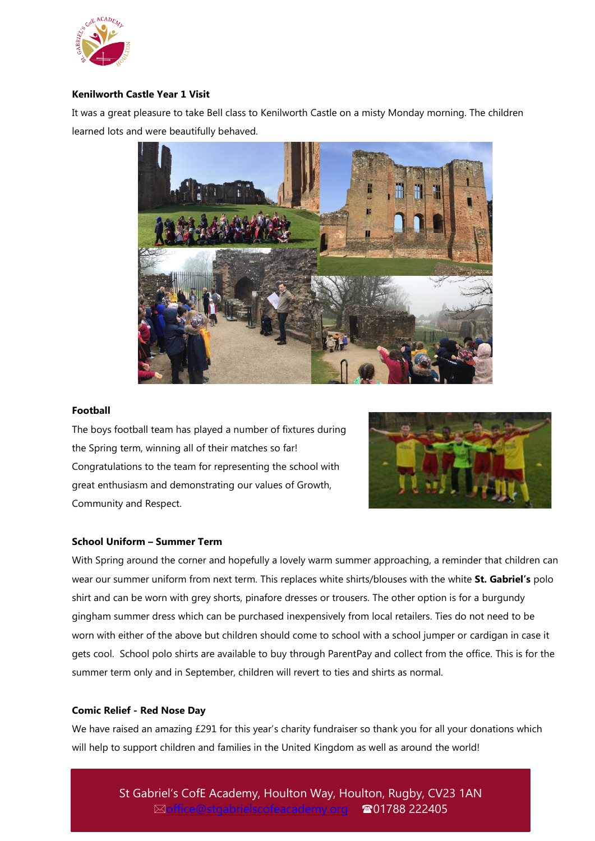

# **Kenilworth Castle Year 1 Visit**

It was a great pleasure to take Bell class to Kenilworth Castle on a misty Monday morning. The children learned lots and were beautifully behaved.



### **Football**

The boys football team has played a number of fixtures during the Spring term, winning all of their matches so far! Congratulations to the team for representing the school with great enthusiasm and demonstrating our values of Growth, Community and Respect.



### **School Uniform – Summer Term**

With Spring around the corner and hopefully a lovely warm summer approaching, a reminder that children can wear our summer uniform from next term. This replaces white shirts/blouses with the white **St. Gabriel's** polo shirt and can be worn with grey shorts, pinafore dresses or trousers. The other option is for a burgundy gingham summer dress which can be purchased inexpensively from local retailers. Ties do not need to be worn with either of the above but children should come to school with a school jumper or cardigan in case it gets cool. School polo shirts are available to buy through ParentPay and collect from the office. This is for the summer term only and in September, children will revert to ties and shirts as normal.

#### **Comic Relief - Red Nose Day**

We have raised an amazing £291 for this year's charity fundraiser so thank you for all your donations which will help to support children and families in the United Kingdom as well as around the world!

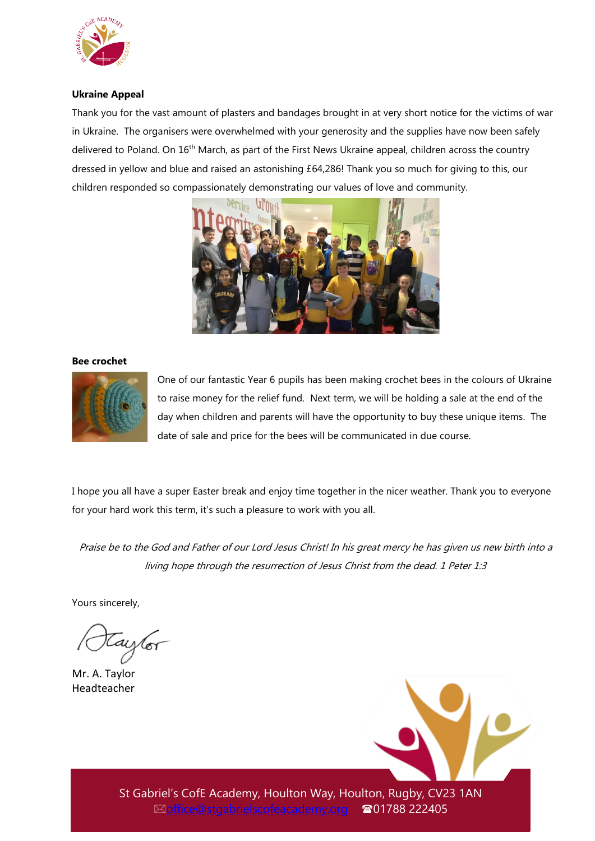

# **Ukraine Appeal**

Thank you for the vast amount of plasters and bandages brought in at very short notice for the victims of war in Ukraine. The organisers were overwhelmed with your generosity and the supplies have now been safely delivered to Poland. On 16<sup>th</sup> March, as part of the First News Ukraine appeal, children across the country dressed in yellow and blue and raised an astonishing £64,286! Thank you so much for giving to this, our children responded so compassionately demonstrating our values of love and community.



#### **Bee crochet**



One of our fantastic Year 6 pupils has been making crochet bees in the colours of Ukraine to raise money for the relief fund. Next term, we will be holding a sale at the end of the day when children and parents will have the opportunity to buy these unique items. The date of sale and price for the bees will be communicated in due course.

I hope you all have a super Easter break and enjoy time together in the nicer weather. Thank you to everyone for your hard work this term, it's such a pleasure to work with you all.

Praise be to the God and Father of our Lord Jesus Christ! In his great mercy he has given us new birth into a living hope through the resurrection of Jesus Christ from the dead. 1 Peter 1:3

Yours sincerely,

taylor

Mr. A. Taylor Headteacher

St Gabriel's CofE Academy, Houlton Way, Houlton, Rugby, CV23 1AN [office@stgabrielscofeacademy.org](mailto:office@stgabrielscofeacademy.org) 01788 222405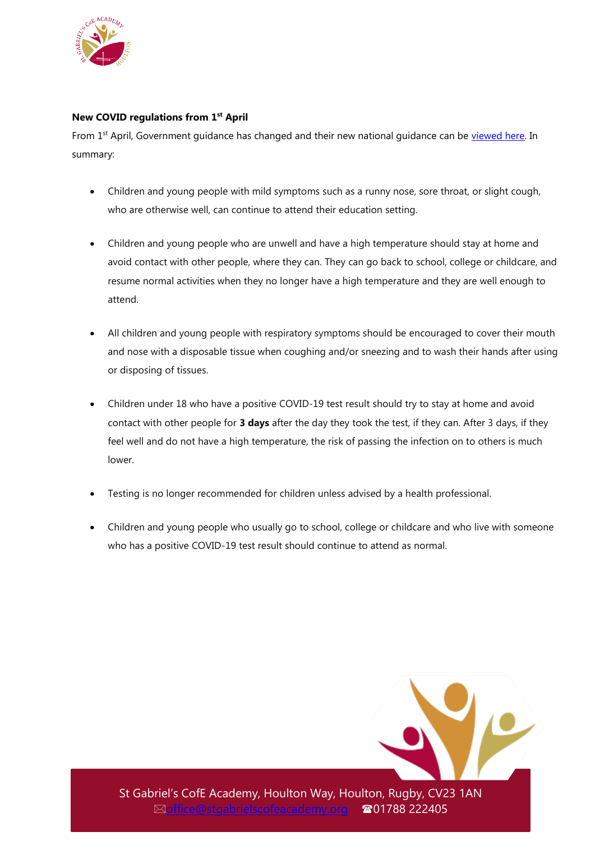

# **New COVID regulations from 1st April**

From 1<sup>st</sup> April, Government guidance has changed and their new national guidance can be [viewed here.](https://www.gov.uk/guidance/people-with-symptoms-of-a-respiratory-infection-including-covid-19#Children) In summary:

- Children and young people with mild symptoms such as a runny nose, sore throat, or slight cough, who are otherwise well, can continue to attend their education setting.
- Children and young people who are unwell and have a high temperature should stay at home and avoid contact with other people, where they can. They can go back to school, college or childcare, and resume normal activities when they no longer have a high temperature and they are well enough to attend.
- All children and young people with respiratory symptoms should be encouraged to cover their mouth and nose with a disposable tissue when coughing and/or sneezing and to wash their hands after using or disposing of tissues.
- Children under 18 who have a positive COVID-19 test result should try to stay at home and avoid contact with other people for **3 days** after the day they took the test, if they can. After 3 days, if they feel well and do not have a high temperature, the risk of passing the infection on to others is much lower.
- Testing is no longer recommended for children unless advised by a health professional.
- Children and young people who usually go to school, college or childcare and who live with someone who has a positive COVID-19 test result should continue to attend as normal.



St Gabriel's CofE Academy, Houlton Way, Houlton, Rugby, CV23 1AN **⊠[office@stgabrielscofeacademy.org](mailto:office@stgabrielscofeacademy.org) ☎01788 222405**